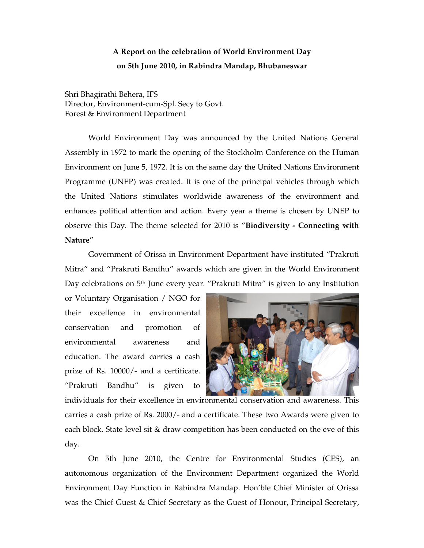## **A Report on the celebration of World Environment Day on 5th June 2010, in Rabindra Mandap, Bhubaneswar**

Shri Bhagirathi Behera, IFS Director, Environment-cum-Spl. Secy to Govt. Forest & Environment Department

World Environment Day was announced by the United Nations General Assembly in 1972 to mark the opening of the Stockholm Conference on the Human Environment on June 5, 1972. It is on the same day the United Nations Environment Programme (UNEP) was created. It is one of the principal vehicles through which the United Nations stimulates worldwide awareness of the environment and enhances political attention and action. Every year a theme is chosen by UNEP to observe this Day. The theme selected for 2010 is "**Biodiversity - Connecting with Nature**"

Government of Orissa in Environment Department have instituted "Prakruti Mitra" and "Prakruti Bandhu" awards which are given in the World Environment Day celebrations on 5<sup>th</sup> June every year. "Prakruti Mitra" is given to any Institution

or Voluntary Organisation / NGO for their excellence in environmental conservation and promotion of environmental awareness and education. The award carries a cash prize of Rs. 10000/- and a certificate. "Prakruti Bandhu" is given to



individuals for their excellence in environmental conservation and awareness. This carries a cash prize of Rs. 2000/- and a certificate. These two Awards were given to each block. State level sit & draw competition has been conducted on the eve of this day.

On 5th June 2010, the Centre for Environmental Studies (CES), an autonomous organization of the Environment Department organized the World Environment Day Function in Rabindra Mandap. Hon'ble Chief Minister of Orissa was the Chief Guest & Chief Secretary as the Guest of Honour, Principal Secretary,